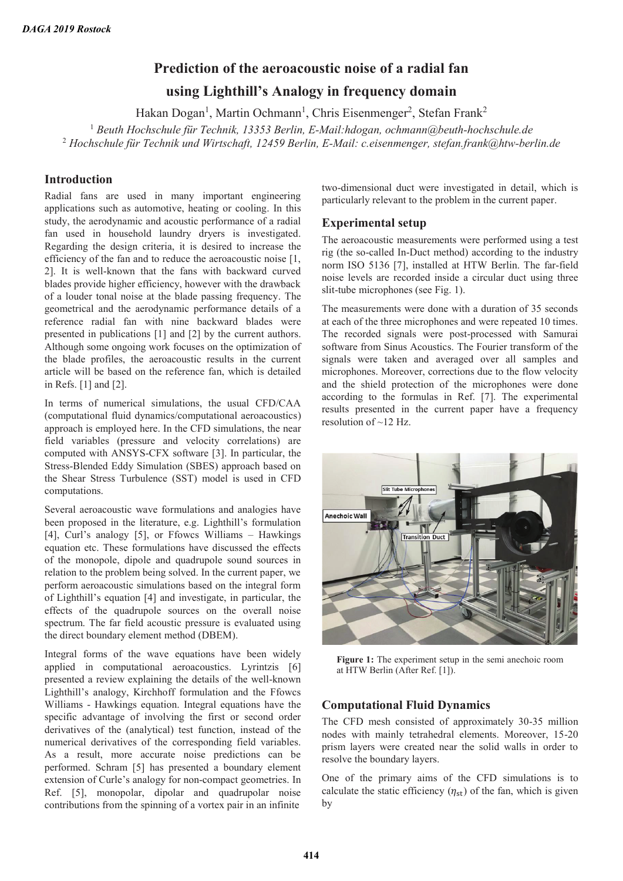# **Prediction of the aeroacoustic noise of a radial fan**

## **using Lighthill's Analogy in frequency domain**

Hakan Dogan<sup>1</sup>, Martin Ochmann<sup>1</sup>, Chris Eisenmenger<sup>2</sup>, Stefan Frank<sup>2</sup>

<sup>1</sup> Beuth Hochschule für Technik, 13353 Berlin, E-Mail:hdogan, ochmann@beuth-hochschule.de 2  *Hochschule für Technik und Wirtschaft, 12459 Berlin, E-Mail: c.eisenmenger, stefan.frank@htw-berlin.de* 

## **Introduction**

Radial fans are used in many important engineering applications such as automotive, heating or cooling. In this study, the aerodynamic and acoustic performance of a radial fan used in household laundry dryers is investigated. Regarding the design criteria, it is desired to increase the efficiency of the fan and to reduce the aeroacoustic noise [1, 2]. It is well-known that the fans with backward curved blades provide higher efficiency, however with the drawback of a louder tonal noise at the blade passing frequency. The geometrical and the aerodynamic performance details of a reference radial fan with nine backward blades were presented in publications [1] and [2] by the current authors. Although some ongoing work focuses on the optimization of the blade profiles, the aeroacoustic results in the current article will be based on the reference fan, which is detailed in Refs. [1] and [2].

In terms of numerical simulations, the usual CFD/CAA (computational fluid dynamics/computational aeroacoustics) approach is employed here. In the CFD simulations, the near field variables (pressure and velocity correlations) are computed with ANSYS-CFX software [3]. In particular, the Stress-Blended Eddy Simulation (SBES) approach based on the Shear Stress Turbulence (SST) model is used in CFD computations.

Several aeroacoustic wave formulations and analogies have been proposed in the literature, e.g. Lighthill's formulation [4], Curl's analogy [5], or Ffowcs Williams – Hawkings equation etc. These formulations have discussed the effects of the monopole, dipole and quadrupole sound sources in relation to the problem being solved. In the current paper, we perform aeroacoustic simulations based on the integral form of Lighthill's equation [4] and investigate, in particular, the effects of the quadrupole sources on the overall noise spectrum. The far field acoustic pressure is evaluated using the direct boundary element method (DBEM).

Integral forms of the wave equations have been widely applied in computational aeroacoustics. Lyrintzis [6] presented a review explaining the details of the well-known Lighthill's analogy, Kirchhoff formulation and the Ffowcs Williams - Hawkings equation. Integral equations have the specific advantage of involving the first or second order derivatives of the (analytical) test function, instead of the numerical derivatives of the corresponding field variables. As a result, more accurate noise predictions can be performed. Schram [5] has presented a boundary element extension of Curle's analogy for non-compact geometries. In Ref. [5], monopolar, dipolar and quadrupolar noise contributions from the spinning of a vortex pair in an infinite

two-dimensional duct were investigated in detail, which is particularly relevant to the problem in the current paper.

## **Experimental setup**

The aeroacoustic measurements were performed using a test rig (the so-called In-Duct method) according to the industry norm ISO 5136 [7], installed at HTW Berlin. The far-field noise levels are recorded inside a circular duct using three slit-tube microphones (see Fig. 1).

The measurements were done with a duration of 35 seconds at each of the three microphones and were repeated 10 times. The recorded signals were post-processed with Samurai software from Sinus Acoustics. The Fourier transform of the signals were taken and averaged over all samples and microphones. Moreover, corrections due to the flow velocity and the shield protection of the microphones were done according to the formulas in Ref. [7]. The experimental results presented in the current paper have a frequency resolution of  $\approx$  12 Hz.



**Figure 1:** The experiment setup in the semi anechoic room at HTW Berlin (After Ref. [1]).

### **Computational Fluid Dynamics**

The CFD mesh consisted of approximately 30-35 million nodes with mainly tetrahedral elements. Moreover, 15-20 prism layers were created near the solid walls in order to resolve the boundary layers.

One of the primary aims of the CFD simulations is to calculate the static efficiency  $(\eta_{st})$  of the fan, which is given by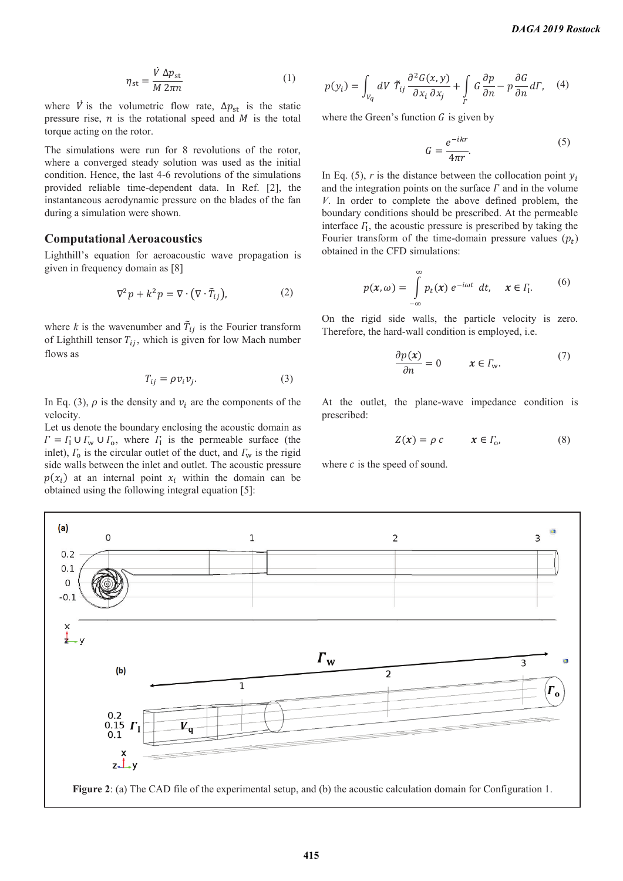$$
\eta_{\rm st} = \frac{\dot{V} \,\Delta p_{\rm st}}{M \,2\pi n} \tag{1}
$$

where V is the volumetric flow rate,  $\Delta p_{st}$  is the static pressure rise,  $n$  is the rotational speed and  $M$  is the total torque acting on the rotor.

The simulations were run for 8 revolutions of the rotor, where a converged steady solution was used as the initial condition. Hence, the last 4-6 revolutions of the simulations provided reliable time-dependent data. In Ref. [2], the instantaneous aerodynamic pressure on the blades of the fan during a simulation were shown.

#### **Computational Aeroacoustics**

Lighthill's equation for aeroacoustic wave propagation is given in frequency domain as [8]

$$
\nabla^2 p + k^2 p = \nabla \cdot (\nabla \cdot \tilde{T}_{ij}),\tag{2}
$$

where  $k$  is the wavenumber and  $\tilde{T}_{ij}$  is the Fourier transform of Lighthill tensor  $T_{ij}$ , which is given for low Mach number flows as

$$
T_{ij} = \rho v_i v_j. \tag{3}
$$

In Eq. (3),  $\rho$  is the density and  $v_i$  are the components of the velocity.

Let us denote the boundary enclosing the acoustic domain as  $\Gamma = \Gamma_1 \cup \Gamma_w \cup \Gamma_o$ , where  $\Gamma_1$  is the permeable surface (the inlet),  $\Gamma_0$  is the circular outlet of the duct, and  $\Gamma_w$  is the rigid side walls between the inlet and outlet. The acoustic pressure  $p(x_i)$  at an internal point  $x_i$  within the domain can be obtained using the following integral equation [5]:

$$
p(y_i) = \int_{V_q} dV \ \tilde{T}_{ij} \frac{\partial^2 G(x, y)}{\partial x_i \partial x_j} + \int_{\Gamma} G \frac{\partial p}{\partial n} - p \frac{\partial G}{\partial n} d\Gamma, \quad (4)
$$

where the Green's function  $G$  is given by

$$
G = \frac{e^{-ikr}}{4\pi r}.\tag{5}
$$

In Eq. (5),  $r$  is the distance between the collocation point  $y_i$ and the integration points on the surface  $\Gamma$  and in the volume *V*. In order to complete the above defined problem, the boundary conditions should be prescribed. At the permeable interface  $\Gamma$ , the acoustic pressure is prescribed by taking the Fourier transform of the time-domain pressure values  $(p_t)$ obtained in the CFD simulations:

$$
p(x,\omega) = \int_{-\infty}^{\infty} p_t(x) e^{-i\omega t} dt, \quad x \in \Gamma_1.
$$
 (6)

On the rigid side walls, the particle velocity is zero. Therefore, the hard-wall condition is employed, i.e.

$$
\frac{\partial p(x)}{\partial n} = 0 \qquad x \in \Gamma_{\text{w}}.\tag{7}
$$

At the outlet, the plane-wave impedance condition is prescribed:

$$
Z(x) = \rho c \qquad x \in \Gamma_0,\tag{8}
$$

where  $c$  is the speed of sound.

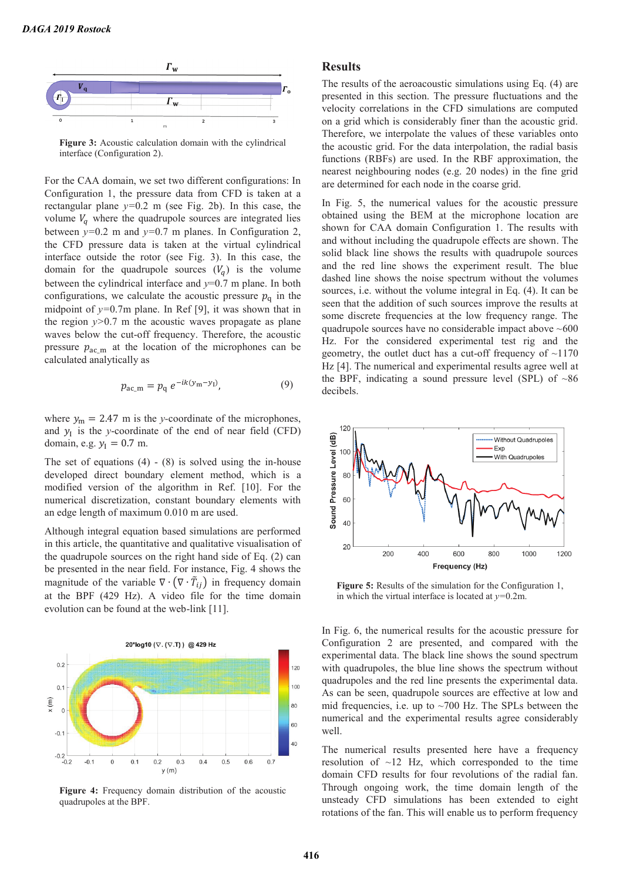

**Figure 3:** Acoustic calculation domain with the cylindrical interface (Configuration 2).

For the CAA domain, we set two different configurations: In Configuration 1, the pressure data from CFD is taken at a rectangular plane *y=*0.2 m (see Fig. 2b). In this case, the volume  $V_q$  where the quadrupole sources are integrated lies between *y=*0.2 m and *y=*0.7 m planes. In Configuration 2, the CFD pressure data is taken at the virtual cylindrical interface outside the rotor (see Fig. 3). In this case, the domain for the quadrupole sources  $(V_a)$  is the volume between the cylindrical interface and *y*=0.7 m plane. In both configurations, we calculate the acoustic pressure  $p<sub>a</sub>$  in the midpoint of *y=*0.7m plane. In Ref [9], it was shown that in the region  $y>0.7$  m the acoustic waves propagate as plane waves below the cut-off frequency. Therefore, the acoustic pressure  $p_{ac,m}$  at the location of the microphones can be calculated analytically as

$$
p_{ac\_m} = p_q \, e^{-ik(y_m - y_l)},\tag{9}
$$

where  $y_m = 2.47$  m is the *y*-coordinate of the microphones, and  $y_I$  is the *y*-coordinate of the end of near field (CFD) domain, e.g.  $y_1 = 0.7$  m.

The set of equations  $(4) - (8)$  is solved using the in-house developed direct boundary element method, which is a modified version of the algorithm in Ref. [10]. For the numerical discretization, constant boundary elements with an edge length of maximum 0.010 m are used.

Although integral equation based simulations are performed in this article, the quantitative and qualitative visualisation of the quadrupole sources on the right hand side of Eq. (2) can be presented in the near field. For instance, Fig. 4 shows the magnitude of the variable  $\nabla \cdot (\nabla \cdot \tilde{T}_{ij})$  in frequency domain at the BPF (429 Hz). A video file for the time domain evolution can be found at the web-link [11].



**Figure 4:** Frequency domain distribution of the acoustic quadrupoles at the BPF.

#### **Results**

The results of the aeroacoustic simulations using Eq. (4) are presented in this section. The pressure fluctuations and the velocity correlations in the CFD simulations are computed on a grid which is considerably finer than the acoustic grid. Therefore, we interpolate the values of these variables onto the acoustic grid. For the data interpolation, the radial basis functions (RBFs) are used. In the RBF approximation, the nearest neighbouring nodes (e.g. 20 nodes) in the fine grid are determined for each node in the coarse grid.

In Fig. 5, the numerical values for the acoustic pressure obtained using the BEM at the microphone location are shown for CAA domain Configuration 1. The results with and without including the quadrupole effects are shown. The solid black line shows the results with quadrupole sources and the red line shows the experiment result. The blue dashed line shows the noise spectrum without the volumes sources, i.e. without the volume integral in Eq. (4). It can be seen that the addition of such sources improve the results at some discrete frequencies at the low frequency range. The quadrupole sources have no considerable impact above  $~600$ Hz. For the considered experimental test rig and the geometry, the outlet duct has a cut-off frequency of  $\sim$ 1170 Hz [4]. The numerical and experimental results agree well at the BPF, indicating a sound pressure level (SPL) of  $~86$ decibels.



**Figure 5:** Results of the simulation for the Configuration 1, in which the virtual interface is located at *y=*0.2m.

In Fig. 6, the numerical results for the acoustic pressure for Configuration 2 are presented, and compared with the experimental data. The black line shows the sound spectrum with quadrupoles, the blue line shows the spectrum without quadrupoles and the red line presents the experimental data. As can be seen, quadrupole sources are effective at low and mid frequencies, i.e. up to  $\sim$ 700 Hz. The SPLs between the numerical and the experimental results agree considerably well.

The numerical results presented here have a frequency resolution of  $\sim$ 12 Hz, which corresponded to the time domain CFD results for four revolutions of the radial fan. Through ongoing work, the time domain length of the unsteady CFD simulations has been extended to eight rotations of the fan. This will enable us to perform frequency